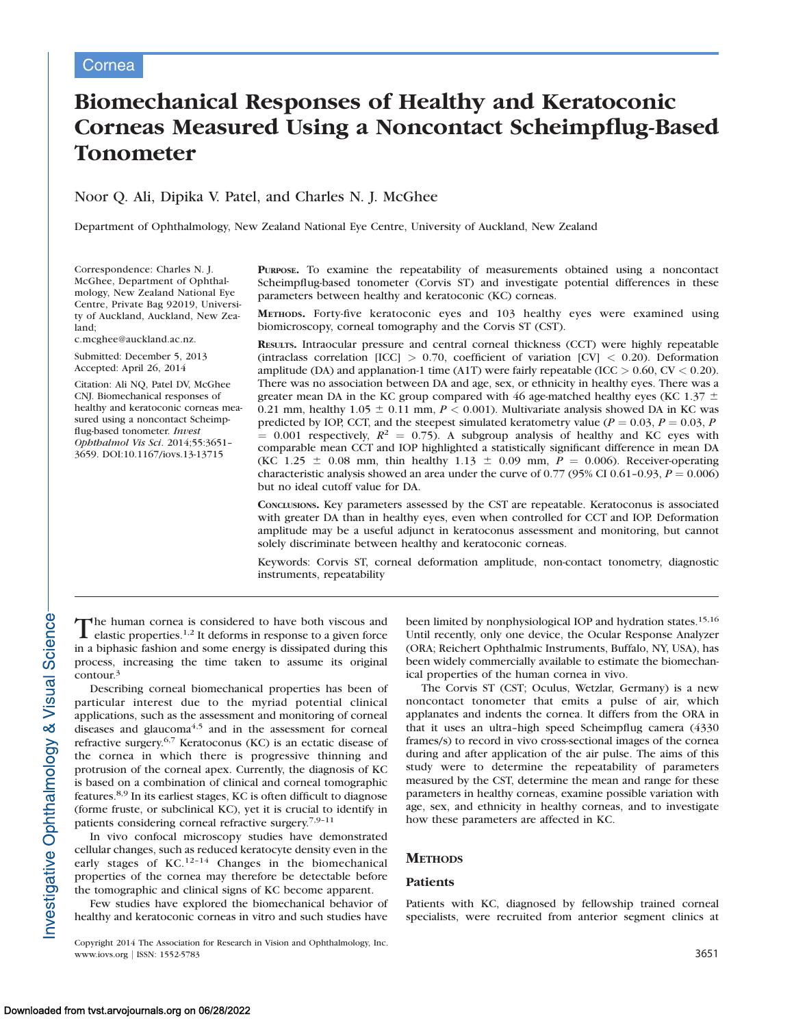# Biomechanical Responses of Healthy and Keratoconic Corneas Measured Using a Noncontact Scheimpflug-Based Tonometer

# Noor Q. Ali, Dipika V. Patel, and Charles N. J. McGhee

Department of Ophthalmology, New Zealand National Eye Centre, University of Auckland, New Zealand

Correspondence: Charles N. J. McGhee, Department of Ophthalmology, New Zealand National Eye Centre, Private Bag 92019, University of Auckland, Auckland, New Zealand;

c.mcghee@auckland.ac.nz.

Submitted: December 5, 2013 Accepted: April 26, 2014

Citation: Ali NQ, Patel DV, McGhee CNJ. Biomechanical responses of healthy and keratoconic corneas measured using a noncontact Scheimpflug-based tonometer. Invest Ophthalmol Vis Sci. 2014;55:3651– 3659. DOI:10.1167/iovs.13-13715

PURPOSE. To examine the repeatability of measurements obtained using a noncontact Scheimpflug-based tonometer (Corvis ST) and investigate potential differences in these parameters between healthy and keratoconic (KC) corneas.

METHODS. Forty-five keratoconic eyes and 103 healthy eyes were examined using biomicroscopy, corneal tomography and the Corvis ST (CST).

RESULTS. Intraocular pressure and central corneal thickness (CCT) were highly repeatable (intraclass correlation  $[ICC] > 0.70$ , coefficient of variation  $[CV] < 0.20$ ). Deformation amplitude (DA) and applanation-1 time (A1T) were fairly repeatable (ICC  $> 0.60$ , CV  $< 0.20$ ). There was no association between DA and age, sex, or ethnicity in healthy eyes. There was a greater mean DA in the KC group compared with 46 age-matched healthy eyes (KC 1.37  $\pm$ 0.21 mm, healthy 1.05  $\pm$  0.11 mm,  $P < 0.001$ ). Multivariate analysis showed DA in KC was predicted by IOP, CCT, and the steepest simulated keratometry value ( $P = 0.03$ ,  $P = 0.03$ ,  $P$  $= 0.001$  respectively,  $R^2 = 0.75$ ). A subgroup analysis of healthy and KC eyes with comparable mean CCT and IOP highlighted a statistically significant difference in mean DA (KC 1.25  $\pm$  0.08 mm, thin healthy 1.13  $\pm$  0.09 mm,  $P = 0.006$ ). Receiver-operating characteristic analysis showed an area under the curve of 0.77 (95% CI 0.61-0.93,  $P = 0.006$ ) but no ideal cutoff value for DA.

CONCLUSIONS. Key parameters assessed by the CST are repeatable. Keratoconus is associated with greater DA than in healthy eyes, even when controlled for CCT and IOP. Deformation amplitude may be a useful adjunct in keratoconus assessment and monitoring, but cannot solely discriminate between healthy and keratoconic corneas.

Keywords: Corvis ST, corneal deformation amplitude, non-contact tonometry, diagnostic instruments, repeatability

The human cornea is considered to have both viscous and elastic properties.<sup>1,2</sup> It deforms in response to a given force in a biphasic fashion and some energy is dissipated during this process, increasing the time taken to assume its original contour.3

Describing corneal biomechanical properties has been of particular interest due to the myriad potential clinical applications, such as the assessment and monitoring of corneal diseases and glaucoma<sup>4,5</sup> and in the assessment for corneal refractive surgery.6,7 Keratoconus (KC) is an ectatic disease of the cornea in which there is progressive thinning and protrusion of the corneal apex. Currently, the diagnosis of KC is based on a combination of clinical and corneal tomographic features.8,9 In its earliest stages, KC is often difficult to diagnose (forme fruste, or subclinical KC), yet it is crucial to identify in patients considering corneal refractive surgery.7,9–11

In vivo confocal microscopy studies have demonstrated cellular changes, such as reduced keratocyte density even in the early stages of KC.<sup>12-14</sup> Changes in the biomechanical properties of the cornea may therefore be detectable before the tomographic and clinical signs of KC become apparent.

Few studies have explored the biomechanical behavior of healthy and keratoconic corneas in vitro and such studies have

Copyright 2014 The Association for Research in Vision and Ophthalmology, Inc. www.iovs.org | ISSN: 1552-5783 3651

been limited by nonphysiological IOP and hydration states.<sup>15,16</sup> Until recently, only one device, the Ocular Response Analyzer (ORA; Reichert Ophthalmic Instruments, Buffalo, NY, USA), has been widely commercially available to estimate the biomechanical properties of the human cornea in vivo.

The Corvis ST (CST; Oculus, Wetzlar, Germany) is a new noncontact tonometer that emits a pulse of air, which applanates and indents the cornea. It differs from the ORA in that it uses an ultra–high speed Scheimpflug camera (4330 frames/s) to record in vivo cross-sectional images of the cornea during and after application of the air pulse. The aims of this study were to determine the repeatability of parameters measured by the CST, determine the mean and range for these parameters in healthy corneas, examine possible variation with age, sex, and ethnicity in healthy corneas, and to investigate how these parameters are affected in KC.

#### **METHODS**

#### Patients

Patients with KC, diagnosed by fellowship trained corneal specialists, were recruited from anterior segment clinics at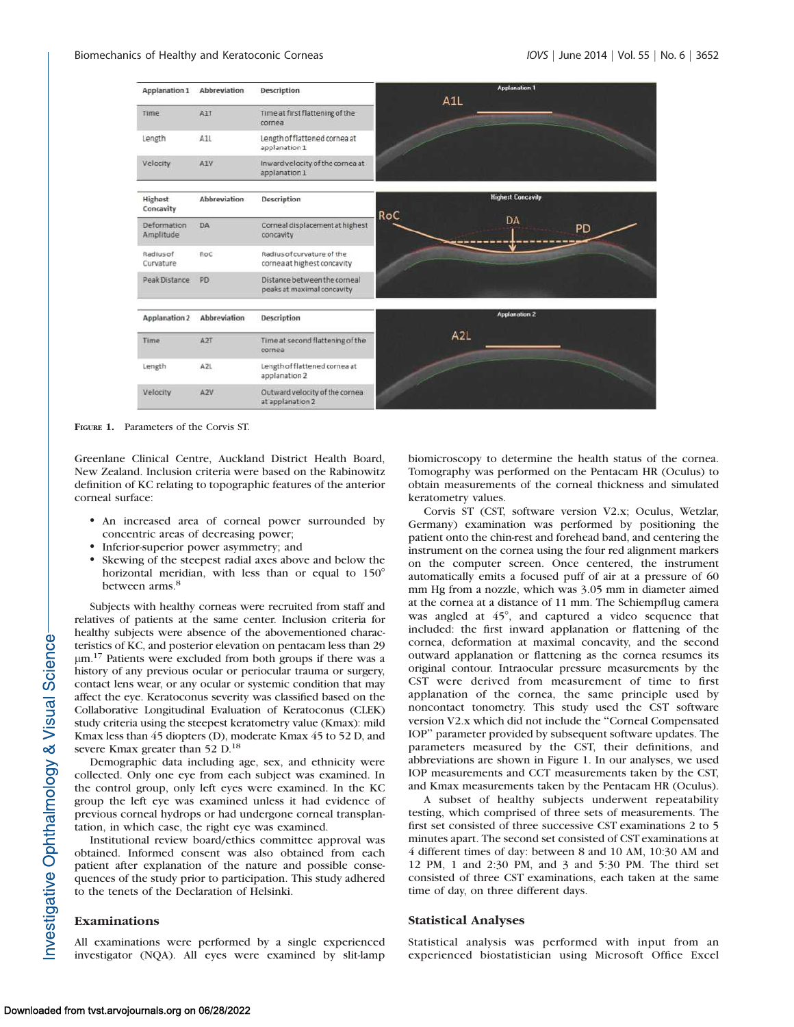

FIGURE 1. Parameters of the Corvis ST.

Greenlane Clinical Centre, Auckland District Health Board, New Zealand. Inclusion criteria were based on the Rabinowitz definition of KC relating to topographic features of the anterior corneal surface:

- An increased area of corneal power surrounded by concentric areas of decreasing power;
- -Inferior-superior power asymmetry; and
- $\bullet$  Skewing of the steepest radial axes above and below the horizontal meridian, with less than or equal to  $150^\circ$ between arms.<sup>8</sup>

Subjects with healthy corneas were recruited from staff and relatives of patients at the same center. Inclusion criteria for healthy subjects were absence of the abovementioned characteristics of KC, and posterior elevation on pentacam less than 29  $\mu$ m.<sup>17</sup> Patients were excluded from both groups if there was a history of any previous ocular or periocular trauma or surgery, contact lens wear, or any ocular or systemic condition that may affect the eye. Keratoconus severity was classified based on the Collaborative Longitudinal Evaluation of Keratoconus (CLEK) study criteria using the steepest keratometry value (Kmax): mild Kmax less than 45 diopters (D), moderate Kmax 45 to 52 D, and severe Kmax greater than 52 D.<sup>18</sup>

Demographic data including age, sex, and ethnicity were collected. Only one eye from each subject was examined. In the control group, only left eyes were examined. In the KC group the left eye was examined unless it had evidence of previous corneal hydrops or had undergone corneal transplantation, in which case, the right eye was examined.

Institutional review board/ethics committee approval was obtained. Informed consent was also obtained from each patient after explanation of the nature and possible consequences of the study prior to participation. This study adhered to the tenets of the Declaration of Helsinki.

## Examinations

All examinations were performed by a single experienced investigator (NQA). All eyes were examined by slit-lamp biomicroscopy to determine the health status of the cornea. Tomography was performed on the Pentacam HR (Oculus) to obtain measurements of the corneal thickness and simulated keratometry values.

Corvis ST (CST, software version V2.x; Oculus, Wetzlar, Germany) examination was performed by positioning the patient onto the chin-rest and forehead band, and centering the instrument on the cornea using the four red alignment markers on the computer screen. Once centered, the instrument automatically emits a focused puff of air at a pressure of 60 mm Hg from a nozzle, which was 3.05 mm in diameter aimed at the cornea at a distance of 11 mm. The Schiempflug camera was angled at  $45^\circ$ , and captured a video sequence that included: the first inward applanation or flattening of the cornea, deformation at maximal concavity, and the second outward applanation or flattening as the cornea resumes its original contour. Intraocular pressure measurements by the CST were derived from measurement of time to first applanation of the cornea, the same principle used by noncontact tonometry. This study used the CST software version V2.x which did not include the ''Corneal Compensated IOP'' parameter provided by subsequent software updates. The parameters measured by the CST, their definitions, and abbreviations are shown in Figure 1. In our analyses, we used IOP measurements and CCT measurements taken by the CST, and Kmax measurements taken by the Pentacam HR (Oculus).

A subset of healthy subjects underwent repeatability testing, which comprised of three sets of measurements. The first set consisted of three successive CST examinations 2 to 5 minutes apart. The second set consisted of CST examinations at 4 different times of day: between 8 and 10 AM, 10:30 AM and 12 PM, 1 and 2:30 PM, and 3 and 5:30 PM. The third set consisted of three CST examinations, each taken at the same time of day, on three different days.

## Statistical Analyses

Statistical analysis was performed with input from an experienced biostatistician using Microsoft Office Excel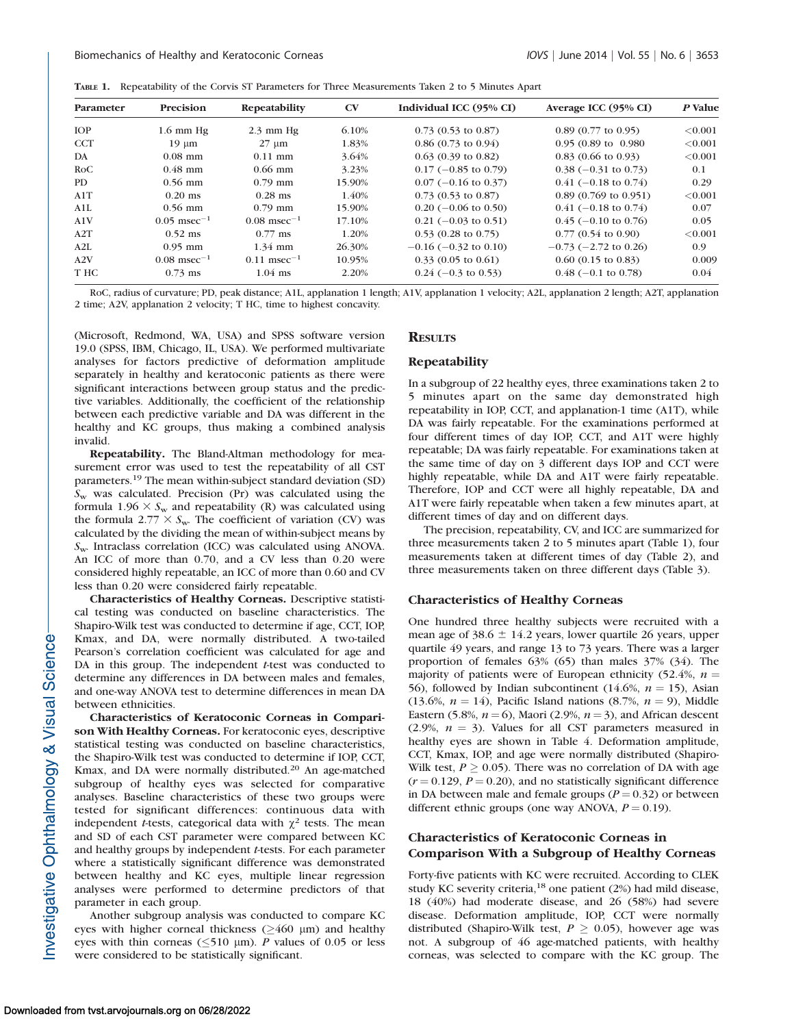|  |  |  |  | TABLE 1. Repeatability of the Corvis ST Parameters for Three Measurements Taken 2 to 5 Minutes Apart |  |  |
|--|--|--|--|------------------------------------------------------------------------------------------------------|--|--|
|--|--|--|--|------------------------------------------------------------------------------------------------------|--|--|

| Parameter  | Precision                 | Repeatability             | $\mathbf{C}\mathbf{V}$ | Individual ICC (95% CI)       | Average ICC (95% CI)           | P Value |
|------------|---------------------------|---------------------------|------------------------|-------------------------------|--------------------------------|---------|
| <b>IOP</b> | $1.6$ mm Hg               | $2.3 \text{ mm Hg}$       | 6.10%                  | $0.73$ (0.53 to 0.87)         | $0.89$ (0.77 to 0.95)          | < 0.001 |
| <b>CCT</b> | $19 \mu m$                | $27 \mu m$                | 1.83%                  | $0.86(0.73 \text{ to } 0.94)$ | $0.95(0.89 \text{ to } 0.980)$ | < 0.001 |
| DA         | $0.08$ mm                 | $0.11$ mm                 | 3.64%                  | $0.63(0.39)$ to $0.82$ )      | $0.83(0.66 \text{ to } 0.93)$  | < 0.001 |
| RoC        | $0.48$ mm                 | $0.66$ mm                 | 3.23%                  | $0.17$ (-0.85 to 0.79)        | $0.38$ (-0.31 to 0.73)         | 0.1     |
| <b>PD</b>  | $0.56$ mm                 | $0.79$ mm                 | 15.90%                 | $0.07$ (-0.16 to 0.37)        | $0.41$ (-0.18 to 0.74)         | 0.29    |
| A1T        | $0.20$ ms                 | $0.28$ ms                 | 1.40%                  | $0.73$ (0.53 to 0.87)         | $0.89(0.769)$ to $0.951$ )     | < 0.001 |
| A1L        | $0.56$ mm                 | $0.79$ mm                 | 15.90%                 | $0.20$ (-0.06 to 0.50)        | $0.41$ (-0.18 to 0.74)         | 0.07    |
| A1V        | $0.05$ msec <sup>-1</sup> | $0.08$ msec <sup>-1</sup> | 17.10%                 | $0.21$ (-0.03 to 0.51)        | $0.45$ (-0.10 to 0.76)         | 0.05    |
| A2T        | $0.52$ ms                 | $0.77$ ms                 | 1.20%                  | $0.53$ (0.28 to 0.75)         | $0.77(0.54 \text{ to } 0.90)$  | < 0.001 |
| A2L        | $0.95$ mm                 | $1.34$ mm                 | 26.30%                 | $-0.16$ ( $-0.32$ to 0.10)    | $-0.73$ ( $-2.72$ to 0.26)     | 0.9     |
| A2V        | $0.08$ msec <sup>-1</sup> | $0.11$ msec <sup>-1</sup> | 10.95%                 | $0.33(0.05 \text{ to } 0.61)$ | $0.60$ (0.15 to 0.83)          | 0.009   |
| T HC       | $0.73$ ms                 | $1.04$ ms                 | 2.20%                  | $0.24$ (-0.3 to 0.53)         | $0.48$ (-0.1 to 0.78)          | 0.04    |

RoC, radius of curvature; PD, peak distance; A1L, applanation 1 length; A1V, applanation 1 velocity; A2L, applanation 2 length; A2T, applanation 2 time; A2V, applanation 2 velocity; T HC, time to highest concavity.

(Microsoft, Redmond, WA, USA) and SPSS software version 19.0 (SPSS, IBM, Chicago, IL, USA). We performed multivariate analyses for factors predictive of deformation amplitude separately in healthy and keratoconic patients as there were significant interactions between group status and the predictive variables. Additionally, the coefficient of the relationship between each predictive variable and DA was different in the healthy and KC groups, thus making a combined analysis invalid.

Repeatability. The Bland-Altman methodology for measurement error was used to test the repeatability of all CST parameters.<sup>19</sup> The mean within-subject standard deviation (SD)  $S_w$  was calculated. Precision (Pr) was calculated using the formula 1.96  $\times$  S<sub>w</sub> and repeatability (R) was calculated using the formula 2.77  $\times S_{\rm w}$ . The coefficient of variation (CV) was calculated by the dividing the mean of within-subject means by  $S_{\rm w}$ . Intraclass correlation (ICC) was calculated using ANOVA. An ICC of more than 0.70, and a CV less than 0.20 were considered highly repeatable, an ICC of more than 0.60 and CV less than 0.20 were considered fairly repeatable.

Characteristics of Healthy Corneas. Descriptive statistical testing was conducted on baseline characteristics. The Shapiro-Wilk test was conducted to determine if age, CCT, IOP, Kmax, and DA, were normally distributed. A two-tailed Pearson's correlation coefficient was calculated for age and DA in this group. The independent t-test was conducted to determine any differences in DA between males and females, and one-way ANOVA test to determine differences in mean DA between ethnicities.

Characteristics of Keratoconic Corneas in Comparison With Healthy Corneas. For keratoconic eyes, descriptive statistical testing was conducted on baseline characteristics, the Shapiro-Wilk test was conducted to determine if IOP, CCT, Kmax, and DA were normally distributed.<sup>20</sup> An age-matched subgroup of healthy eyes was selected for comparative analyses. Baseline characteristics of these two groups were tested for significant differences: continuous data with independent *t*-tests, categorical data with  $\chi^2$  tests. The mean and SD of each CST parameter were compared between KC and healthy groups by independent t-tests. For each parameter where a statistically significant difference was demonstrated between healthy and KC eyes, multiple linear regression analyses were performed to determine predictors of that parameter in each group.

Another subgroup analysis was conducted to compare KC eyes with higher corneal thickness ( $\geq$ 460 µm) and healthy eyes with thin corneas ( $\leq$ 510 µm). P values of 0.05 or less were considered to be statistically significant.

## **RESULTS**

#### Repeatability

In a subgroup of 22 healthy eyes, three examinations taken 2 to 5 minutes apart on the same day demonstrated high repeatability in IOP, CCT, and applanation-1 time (A1T), while DA was fairly repeatable. For the examinations performed at four different times of day IOP, CCT, and A1T were highly repeatable; DA was fairly repeatable. For examinations taken at the same time of day on 3 different days IOP and CCT were highly repeatable, while DA and A1T were fairly repeatable. Therefore, IOP and CCT were all highly repeatable, DA and A1T were fairly repeatable when taken a few minutes apart, at different times of day and on different days.

The precision, repeatability, CV, and ICC are summarized for three measurements taken 2 to 5 minutes apart (Table 1), four measurements taken at different times of day (Table 2), and three measurements taken on three different days (Table 3).

## Characteristics of Healthy Corneas

One hundred three healthy subjects were recruited with a mean age of  $38.6 \pm 14.2$  years, lower quartile 26 years, upper quartile 49 years, and range 13 to 73 years. There was a larger proportion of females 63% (65) than males 37% (34). The majority of patients were of European ethnicity (52.4%,  $n =$ 56), followed by Indian subcontinent (14.6%,  $n = 15$ ), Asian (13.6%,  $n = 14$ ), Pacific Island nations (8.7%,  $n = 9$ ), Middle Eastern (5.8%,  $n = 6$ ), Maori (2.9%,  $n = 3$ ), and African descent (2.9%,  $n = 3$ ). Values for all CST parameters measured in healthy eyes are shown in Table 4. Deformation amplitude, CCT, Kmax, IOP, and age were normally distributed (Shapiro-Wilk test,  $P \ge 0.05$ ). There was no correlation of DA with age  $(r = 0.129, P = 0.20)$ , and no statistically significant difference in DA between male and female groups  $(P = 0.32)$  or between different ethnic groups (one way ANOVA,  $P = 0.19$ ).

## Characteristics of Keratoconic Corneas in Comparison With a Subgroup of Healthy Corneas

Forty-five patients with KC were recruited. According to CLEK study KC severity criteria,<sup>18</sup> one patient (2%) had mild disease, 18 (40%) had moderate disease, and 26 (58%) had severe disease. Deformation amplitude, IOP, CCT were normally distributed (Shapiro-Wilk test,  $P \ge 0.05$ ), however age was not. A subgroup of 46 age-matched patients, with healthy corneas, was selected to compare with the KC group. The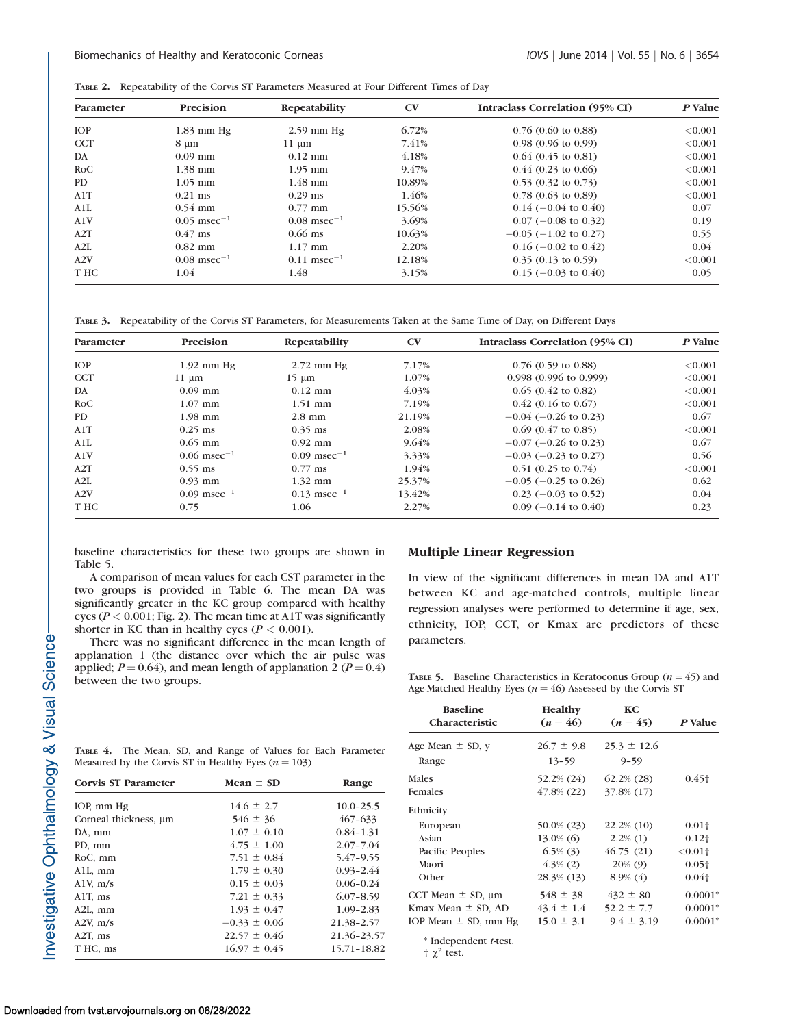TABLE 2. Repeatability of the Corvis ST Parameters Measured at Four Different Times of Day

| Parameter  | Precision                 | Repeatability             | $\mathbf{C}\mathbf{V}$ | Intraclass Correlation (95% CI) | P Value |
|------------|---------------------------|---------------------------|------------------------|---------------------------------|---------|
| <b>IOP</b> | $1.83$ mm Hg              | $2.59$ mm Hg              | 6.72%                  | $0.76$ (0.60 to 0.88)           | < 0.001 |
| <b>CCT</b> | $8 \mu m$                 | $11 \mu m$                | 7.41%                  | $0.98(0.96 \text{ to } 0.99)$   | < 0.001 |
| DA         | $0.09$ mm                 | $0.12$ mm                 | 4.18%                  | $0.64(0.45 \text{ to } 0.81)$   | < 0.001 |
| RoC        | $1.38$ mm                 | $1.95$ mm                 | 9.47%                  | $0.44$ (0.23 to 0.66)           | < 0.001 |
| PD.        | $1.05$ mm                 | $1.48$ mm                 | 10.89%                 | $0.53$ (0.32 to 0.73)           | < 0.001 |
| A1T        | $0.21$ ms                 | $0.29$ ms                 | 1.46%                  | $0.78(0.63 \text{ to } 0.89)$   | < 0.001 |
| A1L        | $0.54$ mm                 | $0.77$ mm                 | 15.56%                 | $0.14$ (-0.04 to 0.40)          | 0.07    |
| A1V        | $0.05$ msec <sup>-1</sup> | $0.08$ msec <sup>-1</sup> | 3.69%                  | $0.07$ (-0.08 to 0.32)          | 0.19    |
| A2T        | $0.47$ ms                 | $0.66$ ms                 | 10.63%                 | $-0.05$ ( $-1.02$ to 0.27)      | 0.55    |
| A2L        | $0.82$ mm                 | $1.17$ mm                 | 2.20%                  | $0.16$ (-0.02 to 0.42)          | 0.04    |
| A2V        | $0.08$ msec <sup>-1</sup> | $0.11$ msec <sup>-1</sup> | 12.18%                 | $0.35(0.13 \text{ to } 0.59)$   | < 0.001 |
| T HC       | 1.04                      | 1.48                      | 3.15%                  | $0.15$ (-0.03 to 0.40)          | 0.05    |

TABLE 3. Repeatability of the Corvis ST Parameters, for Measurements Taken at the Same Time of Day, on Different Days

| Parameter  | Precision                 | Repeatability             | $C\mathbf{V}$ | Intraclass Correlation (95% CI)  | P Value    |
|------------|---------------------------|---------------------------|---------------|----------------------------------|------------|
| <b>IOP</b> | $1.92$ mm Hg              | $2.72$ mm Hg              | 7.17%         | $0.76$ (0.59 to 0.88)            | ${<}0.001$ |
| <b>CCT</b> | $11 \mu m$                | $15 \mu m$                | 1.07%         | $0.998(0.996 \text{ to } 0.999)$ | < 0.001    |
| DA         | $0.09$ mm                 | $0.12$ mm                 | 4.03%         | $0.65(0.42 \text{ to } 0.82)$    | < 0.001    |
| RoC        | $1.07$ mm                 | $1.51$ mm                 | 7.19%         | $0.42$ (0.16 to 0.67)            | < 0.001    |
| PD.        | $1.98$ mm                 | $2.8$ mm                  | 21.19%        | $-0.04$ ( $-0.26$ to 0.23)       | 0.67       |
| A1T        | $0.25$ ms                 | $0.35$ ms                 | 2.08%         | $0.69$ $(0.47$ to $0.85)$        | < 0.001    |
| A1L        | $0.65$ mm                 | $0.92$ mm                 | 9.64%         | $-0.07$ (-0.26 to 0.23)          | 0.67       |
| A1V        | $0.06$ msec <sup>-1</sup> | $0.09$ msec <sup>-1</sup> | 3.33%         | $-0.03$ ( $-0.23$ to 0.27)       | 0.56       |
| A2T        | $0.55$ ms                 | $0.77$ ms                 | 1.94%         | $0.51$ (0.25 to 0.74)            | < 0.001    |
| A2L        | $0.93$ mm                 | $1.32$ mm                 | 25.37%        | $-0.05$ ( $-0.25$ to 0.26)       | 0.62       |
| A2V        | $0.09$ msec <sup>-1</sup> | $0.13$ msec <sup>-1</sup> | 13.42%        | $0.23$ (-0.03 to 0.52)           | 0.04       |
| T HC       | 0.75                      | 1.06                      | 2.27%         | $0.09$ (-0.14 to 0.40)           | 0.23       |

baseline characteristics for these two groups are shown in Table 5.

A comparison of mean values for each CST parameter in the two groups is provided in Table 6. The mean DA was significantly greater in the KC group compared with healthy eyes ( $P < 0.001$ ; Fig. 2). The mean time at A1T was significantly shorter in KC than in healthy eyes ( $P < 0.001$ ).

There was no significant difference in the mean length of applanation 1 (the distance over which the air pulse was applied;  $P = 0.64$ ), and mean length of applanation 2 ( $P = 0.4$ ) between the two groups.

TABLE 4. The Mean, SD, and Range of Values for Each Parameter

Corvis ST Parameter Mean  $\pm$  SD Range

10.0–25.5<br>
Corneal thickness,  $\mu$ m  $546 \pm 36$   $467-633$   $467-633$ Corneal thickness,  $\mu$ m 546 ± 36 467–633 DA, mm  $1.07 \pm 0.10$   $0.84-1.31$ PD, mm  $4.75 \pm 1.00$   $2.07 - 7.04$ RoC, mm  $7.51 \pm 0.84$  5.47-9.55 A1L, mm  $1.79 \pm 0.30$  0.93-2.44 A1V, m/s  $0.15 \pm 0.03$   $0.06-0.24$ A1T, ms  $7.21 \pm 0.33$  6.07–8.59 A2L, mm  $1.93 \pm 0.47$   $1.09-2.83$ A2V, m/s  $-0.33 \pm 0.06$  21.38-2.57 A2T, ms  $22.57 \pm 0.46$   $21.36-23.57$ T HC, ms  $16.97 \pm 0.45$  15.71–18.82

Measured by the Corvis ST in Healthy Eyes ( $n = 103$ )

## Multiple Linear Regression

In view of the significant differences in mean DA and A1T between KC and age-matched controls, multiple linear regression analyses were performed to determine if age, sex, ethnicity, IOP, CCT, or Kmax are predictors of these parameters.

TABLE 5. Baseline Characteristics in Keratoconus Group ( $n = 45$ ) and Age-Matched Healthy Eyes ( $n = 46$ ) Assessed by the Corvis ST

| <b>Baseline</b><br><b>Characteristic</b> | Healthy<br>$(n = 46)$ | KC.<br>$(n = 45)$ | P Value               |
|------------------------------------------|-----------------------|-------------------|-----------------------|
| Age Mean $\pm$ SD, y                     | $26.7 \pm 9.8$        | $25.3 \pm 12.6$   |                       |
| Range                                    | $13 - 59$             | $9 - 59$          |                       |
| Males                                    | 52.2% (24)            | $62.2\%$ (28)     | $0.45\dagger$         |
| Females                                  | 47.8% (22)            | 37.8% (17)        |                       |
| Ethnicity                                |                       |                   |                       |
| European                                 | 50.0% (23)            | 22.2% (10)        | 0.01 <sub>†</sub>     |
| Asian                                    | $13.0\%$ (6)          | $2.2\%$ (1)       | $0.12\dagger$         |
| Pacific Peoples                          | $6.5\%$ (3)           | 46.75 (21)        | $< 0.01$ <sup>+</sup> |
| Maori                                    | $4.3\%$ (2)           | $20\%$ (9)        | $0.05+$               |
| Other                                    | 28.3% (13)            | $8.9\%$ (4)       | $0.04\dagger$         |
| CCT Mean $\pm$ SD, $\mu$ m               | $548 \pm 38$          | $432 \pm 80$      | $0.0001*$             |
| Kmax Mean $\pm$ SD, $\Delta$ D           | $43.4 \pm 1.4$        | $52.2 \pm 7.7$    | $0.0001*$             |
| IOP Mean $\pm$ SD, mm Hg                 | $15.0 \pm 3.1$        | $9.4 \pm 3.19$    | $0.0001*$             |

\* Independent t-test.

 $\uparrow \chi^2$  test.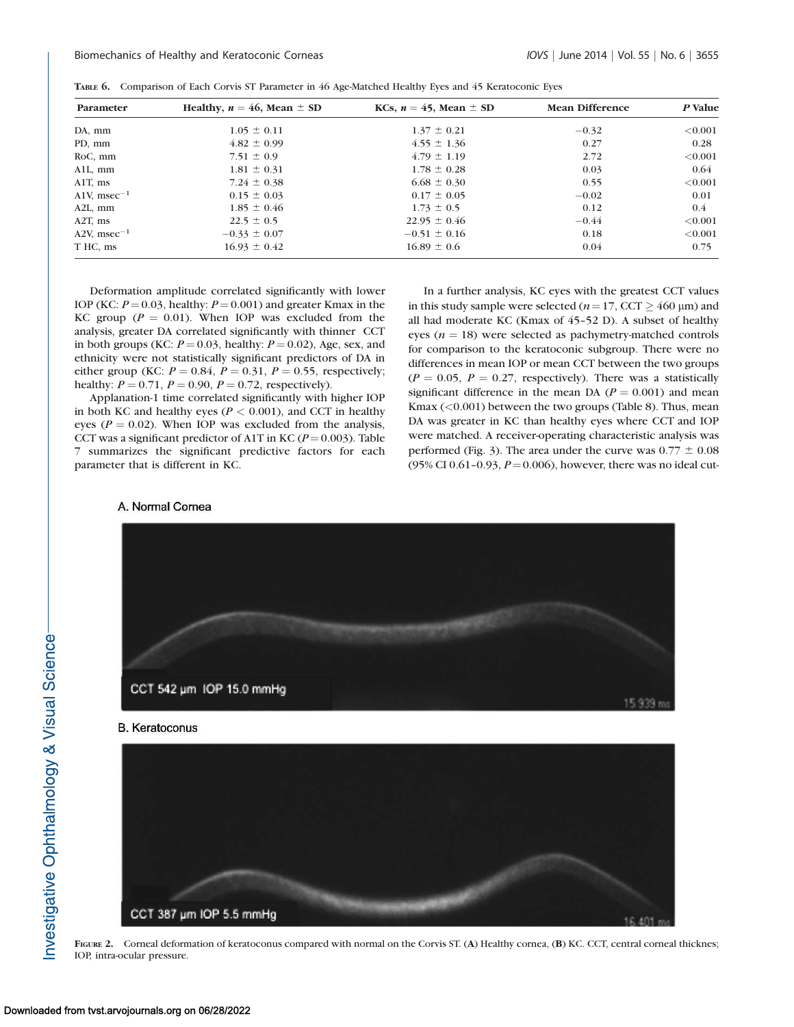|  | TABLE 6. Comparison of Each Corvis ST Parameter in 46 Age-Matched Healthy Eyes and 45 Keratoconic Eyes |  |  |  |  |  |  |  |  |  |  |
|--|--------------------------------------------------------------------------------------------------------|--|--|--|--|--|--|--|--|--|--|
|--|--------------------------------------------------------------------------------------------------------|--|--|--|--|--|--|--|--|--|--|

| Parameter         | Healthy, $n = 46$ , Mean $\pm$ SD | KCs, $n = 45$ , Mean $\pm$ SD | <b>Mean Difference</b> | P Value |
|-------------------|-----------------------------------|-------------------------------|------------------------|---------|
| DA, mm            | $1.05 \pm 0.11$                   | $1.37 \pm 0.21$               | $-0.32$                | < 0.001 |
| PD, mm            | $4.82 \pm 0.99$                   | $4.55 \pm 1.36$               | 0.27                   | 0.28    |
| RoC, mm           | $7.51 \pm 0.9$                    | $4.79 \pm 1.19$               | 2.72                   | < 0.001 |
| $All, \, mm$      | $1.81 \pm 0.31$                   | $1.78 \pm 0.28$               | 0.03                   | 0.64    |
| A1T, ms           | $7.24 \pm 0.38$                   | $6.68 \pm 0.30$               | 0.55                   | < 0.001 |
| A1V, msec $^{-1}$ | $0.15 \pm 0.03$                   | $0.17 \pm 0.05$               | $-0.02$                | 0.01    |
| $A2L$ , mm        | $1.85 \pm 0.46$                   | $1.73 \pm 0.5$                | 0.12                   | 0.4     |
| $A2T$ , ms        | $22.5 \pm 0.5$                    | $22.95 \pm 0.46$              | $-0.44$                | < 0.001 |
| A2V, msec $^{-1}$ | $-0.33 \pm 0.07$                  | $-0.51 \pm 0.16$              | 0.18                   | < 0.001 |
| T HC, ms          | $16.93 \pm 0.42$                  | $16.89 \pm 0.6$               | 0.04                   | 0.75    |

Deformation amplitude correlated significantly with lower IOP (KC:  $P = 0.03$ , healthy:  $P = 0.001$ ) and greater Kmax in the KC group ( $P = 0.01$ ). When IOP was excluded from the analysis, greater DA correlated significantly with thinner CCT in both groups (KC:  $P = 0.03$ , healthy:  $P = 0.02$ ), Age, sex, and ethnicity were not statistically significant predictors of DA in either group (KC:  $P = 0.84$ ,  $P = 0.31$ ,  $P = 0.55$ , respectively; healthy:  $P = 0.71$ ,  $P = 0.90$ ,  $P = 0.72$ , respectively).

Applanation-1 time correlated significantly with higher IOP in both KC and healthy eyes ( $P < 0.001$ ), and CCT in healthy eyes ( $P = 0.02$ ). When IOP was excluded from the analysis, CCT was a significant predictor of A1T in KC ( $P = 0.003$ ). Table 7 summarizes the significant predictive factors for each parameter that is different in KC.

# In a further analysis, KC eyes with the greatest CCT values in this study sample were selected ( $n=17$ , CCT  $\geq$  460 µm) and all had moderate KC (Kmax of 45–52 D). A subset of healthy eyes ( $n = 18$ ) were selected as pachymetry-matched controls for comparison to the keratoconic subgroup. There were no differences in mean IOP or mean CCT between the two groups  $(P = 0.05, P = 0.27,$  respectively). There was a statistically significant difference in the mean DA ( $P = 0.001$ ) and mean Kmax (<0.001) between the two groups (Table 8). Thus, mean DA was greater in KC than healthy eyes where CCT and IOP were matched. A receiver-operating characteristic analysis was performed (Fig. 3). The area under the curve was  $0.77 \pm 0.08$ (95% CI 0.61-0.93,  $P = 0.006$ ), however, there was no ideal cut-

#### A. Normal Cornea



FIGURE 2. Corneal deformation of keratoconus compared with normal on the Corvis ST. (A) Healthy cornea, (B) KC. CCT, central corneal thicknes; IOP, intra-ocular pressure.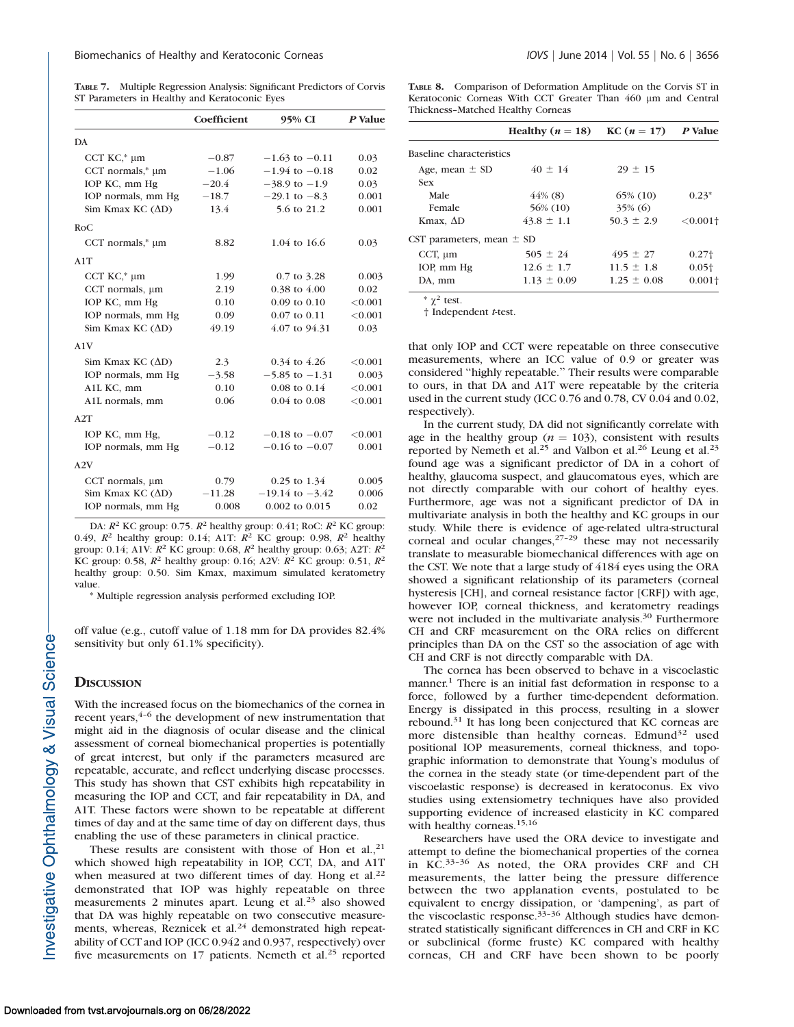TABLE 7. Multiple Regression Analysis: Significant Predictors of Corvis ST Parameters in Healthy and Keratoconic Eyes

|                          | Coefficient | 95% CI                  | P Value |
|--------------------------|-------------|-------------------------|---------|
| DA                       |             |                         |         |
| CCT $KC,*\mu m$          | $-0.87$     | $-1.63$ to $-0.11$      | 0.03    |
| CCT normals,* µm         | $-1.06$     | $-1.94$ to $-0.18$      | 0.02    |
| IOP KC, mm Hg            | $-20.4$     | $-38.9$ to $-1.9$       | 0.03    |
| IOP normals, mm Hg       | $-18.7$     | $-29.1$ to $-8.3$       | 0.001   |
| Sim Kmax KC $(\Delta D)$ | 13.4        | 5.6 to 21.2             | 0.001   |
| RoC                      |             |                         |         |
| CCT normals, $* \mu m$   | 8.82        | 1.04 to 16.6            | 0.03    |
| A1T                      |             |                         |         |
| CCT $KC,*\mu m$          | 1.99        | 0.7 to 3.28             | 0.003   |
| CCT normals, um          | 2.19        | $0.38$ to $4.00$        | 0.02    |
| IOP KC, mm Hg            | 0.10        | $0.09$ to $0.10$        | < 0.001 |
| IOP normals, mm Hg       | 0.09        | 0.07 to 0.11            | < 0.001 |
| Sim Kmax KC $(\Delta D)$ | 49.19       | 4.07 to 94.31           | 0.03    |
| A1V                      |             |                         |         |
| Sim Kmax KC $(\Delta D)$ | 2.3         | $0.34$ to 4.26          | < 0.001 |
| IOP normals, mm Hg       | $-3.58$     | $-5.85$ to $-1.31$      | 0.003   |
| A1L KC, mm               | 0.10        | $0.08 \text{ to } 0.14$ | < 0.001 |
| A1L normals, mm          | 0.06        | $0.04$ to $0.08$        | < 0.001 |
| A2T                      |             |                         |         |
| IOP KC, mm Hg,           | $-0.12$     | $-0.18$ to $-0.07$      | < 0.001 |
| IOP normals, mm Hg       | $-0.12$     | $-0.16$ to $-0.07$      | 0.001   |
| A2V                      |             |                         |         |
| CCT normals, $\mu$ m     | 0.79        | $0.25$ to $1.34$        | 0.005   |
| Sim Kmax KC $(\Delta D)$ | $-11.28$    | $-19.14$ to $-3.42$     | 0.006   |
| IOP normals, mm Hg       | 0.008       | 0.002 to 0.015          | 0.02    |

DA:  $R^2$  KC group: 0.75.  $R^2$  healthy group: 0.41; RoC:  $R^2$  KC group: 0.49,  $R^2$  healthy group: 0.14; A1T:  $R^2$  KC group: 0.98,  $R^2$  healthy group: 0.14; A1V:  $R^2$  KC group: 0.68,  $R^2$  healthy group: 0.63; A2T:  $R^2$ KC group: 0.58,  $R^2$  healthy group: 0.16; A2V:  $R^2$  KC group: 0.51,  $R^2$ healthy group: 0.50. Sim Kmax, maximum simulated keratometry value.

Multiple regression analysis performed excluding IOP.

off value (e.g., cutoff value of 1.18 mm for DA provides 82.4% sensitivity but only 61.1% specificity).

## **DISCUSSION**

With the increased focus on the biomechanics of the cornea in recent years,  $4-6$  the development of new instrumentation that might aid in the diagnosis of ocular disease and the clinical assessment of corneal biomechanical properties is potentially of great interest, but only if the parameters measured are repeatable, accurate, and reflect underlying disease processes. This study has shown that CST exhibits high repeatability in measuring the IOP and CCT, and fair repeatability in DA, and A1T. These factors were shown to be repeatable at different times of day and at the same time of day on different days, thus enabling the use of these parameters in clinical practice.

These results are consistent with those of Hon et al., $^{21}$ which showed high repeatability in IOP, CCT, DA, and A1T when measured at two different times of day. Hong et al.<sup>22</sup> demonstrated that IOP was highly repeatable on three measurements 2 minutes apart. Leung et al.<sup>23</sup> also showed that DA was highly repeatable on two consecutive measurements, whereas, Reznicek et al.<sup>24</sup> demonstrated high repeatability of CCT and IOP (ICC 0.942 and 0.937, respectively) over five measurements on 17 patients. Nemeth et al.<sup>25</sup> reported

TABLE 8. Comparison of Deformation Amplitude on the Corvis ST in Keratoconic Corneas With CCT Greater Than 460 µm and Central Thickness–Matched Healthy Corneas

|                               | Healthy $(n = 18)$ KC $(n = 17)$ |                 | P Value                |
|-------------------------------|----------------------------------|-----------------|------------------------|
| Baseline characteristics      |                                  |                 |                        |
| Age, mean $\pm$ SD            | $40 \pm 14$                      | $29 \pm 15$     |                        |
| <b>Sex</b>                    |                                  |                 |                        |
| Male                          | $44\%$ (8)                       | 65% (10)        | $0.23*$                |
| Female                        | 56% (10)                         | $35\%$ (6)      |                        |
| Kmax, ΔD                      | $43.8 \pm 1.1$                   | $50.3 \pm 2.9$  | $< 0.001$ <sup>+</sup> |
| CST parameters, mean $\pm$ SD |                                  |                 |                        |
| CCT, $\mu$ m                  | $505 \pm 24$                     | $495 \pm 27$    | 0.27 <sup>†</sup>      |
| IOP, mm Hg                    | $12.6 \pm 1.7$                   | $11.5 \pm 1.8$  | $0.05+$                |
| DA, mm                        | $1.13 \pm 0.09$                  | $1.25 \pm 0.08$ | $0.001+$               |

 $*\chi^2$  test.

† Independent t-test.

that only IOP and CCT were repeatable on three consecutive measurements, where an ICC value of 0.9 or greater was considered ''highly repeatable.'' Their results were comparable to ours, in that DA and A1T were repeatable by the criteria used in the current study (ICC 0.76 and 0.78, CV 0.04 and 0.02, respectively).

In the current study, DA did not significantly correlate with age in the healthy group ( $n = 103$ ), consistent with results reported by Nemeth et al.<sup>25</sup> and Valbon et al.<sup>26</sup> Leung et al.<sup>23</sup> found age was a significant predictor of DA in a cohort of healthy, glaucoma suspect, and glaucomatous eyes, which are not directly comparable with our cohort of healthy eyes. Furthermore, age was not a significant predictor of DA in multivariate analysis in both the healthy and KC groups in our study. While there is evidence of age-related ultra-structural corneal and ocular changes, $27-29$  these may not necessarily translate to measurable biomechanical differences with age on the CST. We note that a large study of 4184 eyes using the ORA showed a significant relationship of its parameters (corneal hysteresis [CH], and corneal resistance factor [CRF]) with age, however IOP, corneal thickness, and keratometry readings were not included in the multivariate analysis.<sup>30</sup> Furthermore CH and CRF measurement on the ORA relies on different principles than DA on the CST so the association of age with CH and CRF is not directly comparable with DA.

The cornea has been observed to behave in a viscoelastic manner.<sup>1</sup> There is an initial fast deformation in response to a force, followed by a further time-dependent deformation. Energy is dissipated in this process, resulting in a slower rebound.<sup>31</sup> It has long been conjectured that KC corneas are more distensible than healthy corneas. Edmund<sup>32</sup> used positional IOP measurements, corneal thickness, and topographic information to demonstrate that Young's modulus of the cornea in the steady state (or time-dependent part of the viscoelastic response) is decreased in keratoconus. Ex vivo studies using extensiometry techniques have also provided supporting evidence of increased elasticity in KC compared with healthy corneas.<sup>15,16</sup>

Researchers have used the ORA device to investigate and attempt to define the biomechanical properties of the cornea in KC.33–36 As noted, the ORA provides CRF and CH measurements, the latter being the pressure difference between the two applanation events, postulated to be equivalent to energy dissipation, or 'dampening', as part of the viscoelastic response.33–36 Although studies have demonstrated statistically significant differences in CH and CRF in KC or subclinical (forme fruste) KC compared with healthy corneas, CH and CRF have been shown to be poorly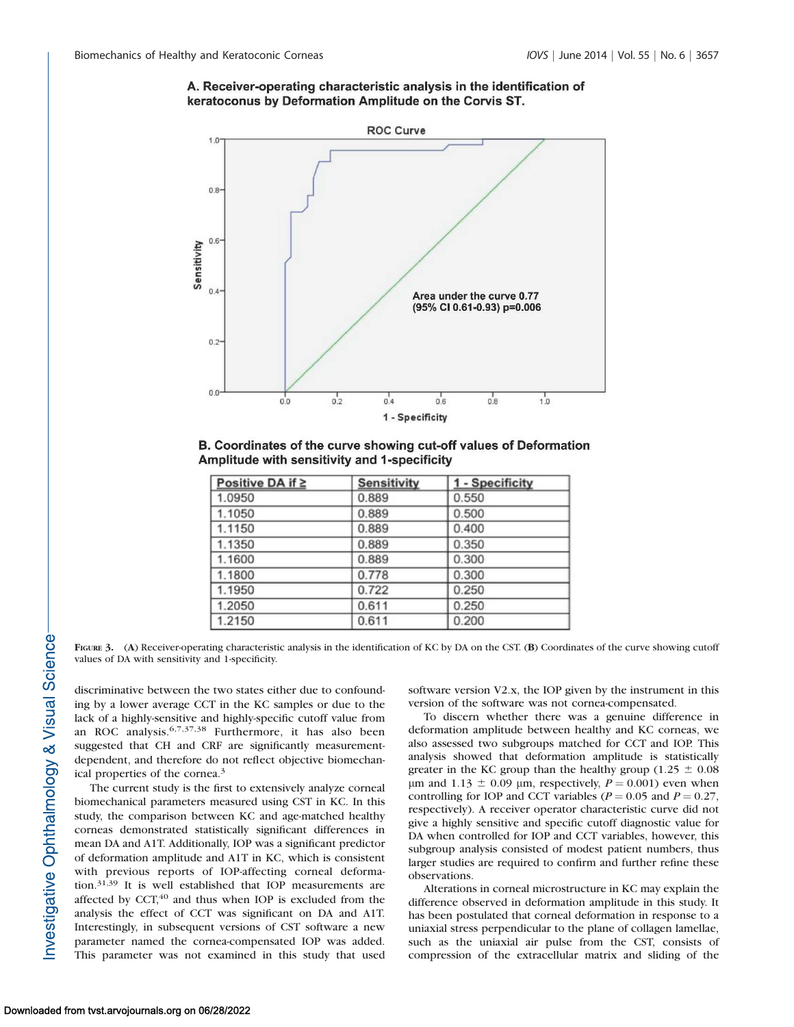# A. Receiver-operating characteristic analysis in the identification of keratoconus by Deformation Amplitude on the Corvis ST.



B. Coordinates of the curve showing cut-off values of Deformation Amplitude with sensitivity and 1-specificity

| Positive DA if ≥ | <b>Sensitivity</b> | 1 - Specificity |
|------------------|--------------------|-----------------|
| 1.0950           | 0.889              | 0.550           |
| 1.1050           | 0.889              | 0.500           |
| 1.1150           | 0.889              | 0.400           |
| 1.1350           | 0.889              | 0.350           |
| 1.1600           | 0.889              | 0.300           |
| 1.1800           | 0.778              | 0.300           |
| 1.1950           | 0.722              | 0.250           |
| 1.2050           | 0.611              | 0.250           |
| 1.2150           | 0.611              | 0.200           |

FIGURE 3. (A) Receiver-operating characteristic analysis in the identification of KC by DA on the CST. (B) Coordinates of the curve showing cutoff values of DA with sensitivity and 1-specificity.

discriminative between the two states either due to confounding by a lower average CCT in the KC samples or due to the lack of a highly-sensitive and highly-specific cutoff value from an ROC analysis.6,7,37,38 Furthermore, it has also been suggested that CH and CRF are significantly measurementdependent, and therefore do not reflect objective biomechanical properties of the cornea.<sup>3</sup>

The current study is the first to extensively analyze corneal biomechanical parameters measured using CST in KC. In this study, the comparison between KC and age-matched healthy corneas demonstrated statistically significant differences in mean DA and A1T. Additionally, IOP was a significant predictor of deformation amplitude and A1T in KC, which is consistent with previous reports of IOP-affecting corneal deformation.31,39 It is well established that IOP measurements are affected by CCT, $40$  and thus when IOP is excluded from the analysis the effect of CCT was significant on DA and A1T. Interestingly, in subsequent versions of CST software a new parameter named the cornea-compensated IOP was added. This parameter was not examined in this study that used

software version V2.x, the IOP given by the instrument in this version of the software was not cornea-compensated.

To discern whether there was a genuine difference in deformation amplitude between healthy and KC corneas, we also assessed two subgroups matched for CCT and IOP. This analysis showed that deformation amplitude is statistically greater in the KC group than the healthy group (1.25  $\pm$  0.08  $\mu$ m and 1.13  $\pm$  0.09  $\mu$ m, respectively,  $P = 0.001$ ) even when controlling for IOP and CCT variables ( $P = 0.05$  and  $P = 0.27$ , respectively). A receiver operator characteristic curve did not give a highly sensitive and specific cutoff diagnostic value for DA when controlled for IOP and CCT variables, however, this subgroup analysis consisted of modest patient numbers, thus larger studies are required to confirm and further refine these observations.

Alterations in corneal microstructure in KC may explain the difference observed in deformation amplitude in this study. It has been postulated that corneal deformation in response to a uniaxial stress perpendicular to the plane of collagen lamellae, such as the uniaxial air pulse from the CST, consists of compression of the extracellular matrix and sliding of the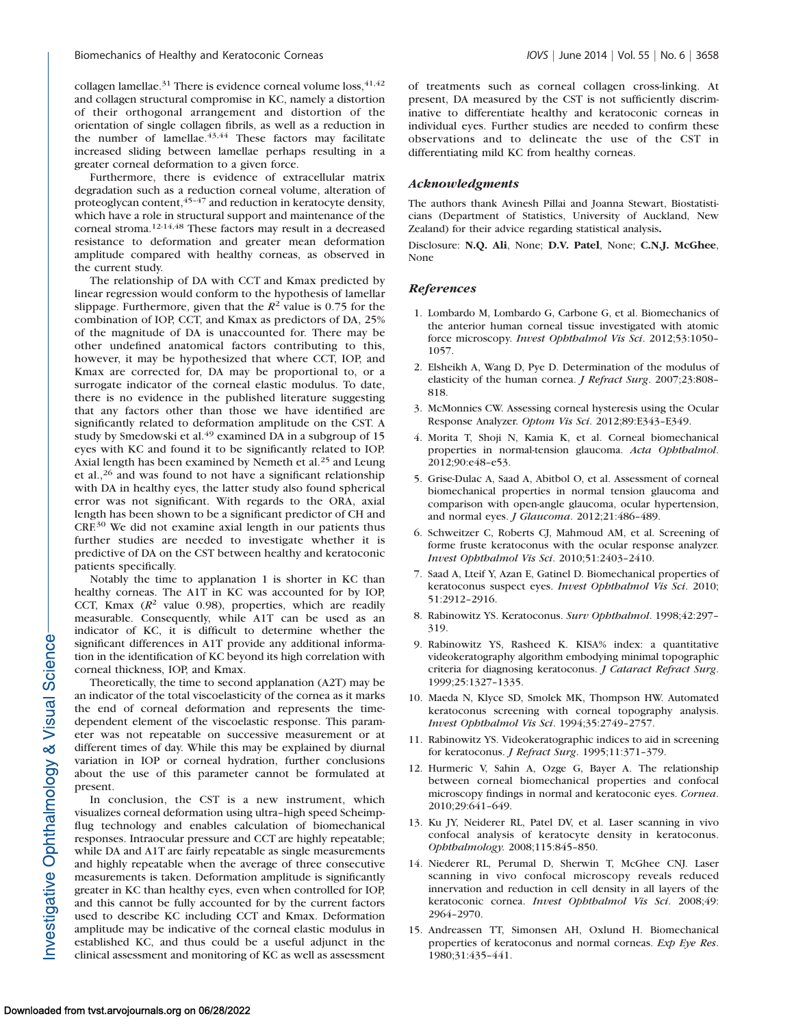collagen lamellae.<sup>31</sup> There is evidence corneal volume loss,  $41,42$ and collagen structural compromise in KC, namely a distortion of their orthogonal arrangement and distortion of the orientation of single collagen fibrils, as well as a reduction in the number of lamellae. $43,44$  These factors may facilitate increased sliding between lamellae perhaps resulting in a greater corneal deformation to a given force.

Furthermore, there is evidence of extracellular matrix degradation such as a reduction corneal volume, alteration of proteoglycan content,45–47 and reduction in keratocyte density, which have a role in structural support and maintenance of the corneal stroma.12-14,48 These factors may result in a decreased resistance to deformation and greater mean deformation amplitude compared with healthy corneas, as observed in the current study.

The relationship of DA with CCT and Kmax predicted by linear regression would conform to the hypothesis of lamellar slippage. Furthermore, given that the  $R^2$  value is 0.75 for the combination of IOP, CCT, and Kmax as predictors of DA, 25% of the magnitude of DA is unaccounted for. There may be other undefined anatomical factors contributing to this, however, it may be hypothesized that where CCT, IOP, and Kmax are corrected for, DA may be proportional to, or a surrogate indicator of the corneal elastic modulus. To date, there is no evidence in the published literature suggesting that any factors other than those we have identified are significantly related to deformation amplitude on the CST. A study by Smedowski et al.<sup>49</sup> examined DA in a subgroup of 15 eyes with KC and found it to be significantly related to IOP. Axial length has been examined by Nemeth et al.<sup>25</sup> and Leung et al.,  $26$  and was found to not have a significant relationship with DA in healthy eyes, the latter study also found spherical error was not significant. With regards to the ORA, axial length has been shown to be a significant predictor of CH and CRF.<sup>30</sup> We did not examine axial length in our patients thus further studies are needed to investigate whether it is predictive of DA on the CST between healthy and keratoconic patients specifically.

Notably the time to applanation 1 is shorter in KC than healthy corneas. The A1T in KC was accounted for by IOP, CCT, Kmax  $(R^2$  value 0.98), properties, which are readily measurable. Consequently, while A1T can be used as an indicator of KC, it is difficult to determine whether the significant differences in A1T provide any additional information in the identification of KC beyond its high correlation with corneal thickness, IOP, and Kmax.

Theoretically, the time to second applanation (A2T) may be an indicator of the total viscoelasticity of the cornea as it marks the end of corneal deformation and represents the timedependent element of the viscoelastic response. This parameter was not repeatable on successive measurement or at different times of day. While this may be explained by diurnal variation in IOP or corneal hydration, further conclusions about the use of this parameter cannot be formulated at present.

In conclusion, the CST is a new instrument, which visualizes corneal deformation using ultra–high speed Scheimpflug technology and enables calculation of biomechanical responses. Intraocular pressure and CCT are highly repeatable; while DA and A1T are fairly repeatable as single measurements and highly repeatable when the average of three consecutive measurements is taken. Deformation amplitude is significantly greater in KC than healthy eyes, even when controlled for IOP, and this cannot be fully accounted for by the current factors used to describe KC including CCT and Kmax. Deformation amplitude may be indicative of the corneal elastic modulus in established KC, and thus could be a useful adjunct in the clinical assessment and monitoring of KC as well as assessment

of treatments such as corneal collagen cross-linking. At present, DA measured by the CST is not sufficiently discriminative to differentiate healthy and keratoconic corneas in individual eyes. Further studies are needed to confirm these observations and to delineate the use of the CST in differentiating mild KC from healthy corneas.

#### Acknowledgments

The authors thank Avinesh Pillai and Joanna Stewart, Biostatisticians (Department of Statistics, University of Auckland, New Zealand) for their advice regarding statistical analysis.

Disclosure: N.Q. Ali, None; D.V. Patel, None; C.N.J. McGhee, None

#### References

- 1. Lombardo M, Lombardo G, Carbone G, et al. Biomechanics of the anterior human corneal tissue investigated with atomic force microscopy. Invest Ophthalmol Vis Sci. 2012;53:1050– 1057.
- 2. Elsheikh A, Wang D, Pye D. Determination of the modulus of elasticity of the human cornea. J Refract Surg. 2007;23:808– 818.
- 3. McMonnies CW. Assessing corneal hysteresis using the Ocular Response Analyzer. Optom Vis Sci. 2012;89:E343–E349.
- 4. Morita T, Shoji N, Kamia K, et al. Corneal biomechanical properties in normal-tension glaucoma. Acta Ophthalmol. 2012;90:e48–e53.
- 5. Grise-Dulac A, Saad A, Abitbol O, et al. Assessment of corneal biomechanical properties in normal tension glaucoma and comparison with open-angle glaucoma, ocular hypertension, and normal eyes. J Glaucoma. 2012;21:486–489.
- 6. Schweitzer C, Roberts CJ, Mahmoud AM, et al. Screening of forme fruste keratoconus with the ocular response analyzer. Invest Ophthalmol Vis Sci. 2010;51:2403–2410.
- 7. Saad A, Lteif Y, Azan E, Gatinel D. Biomechanical properties of keratoconus suspect eyes. Invest Ophthalmol Vis Sci. 2010; 51:2912–2916.
- 8. Rabinowitz YS. Keratoconus. Surv Ophthalmol. 1998;42:297– 319.
- 9. Rabinowitz YS, Rasheed K. KISA% index: a quantitative videokeratography algorithm embodying minimal topographic criteria for diagnosing keratoconus. J Cataract Refract Surg. 1999;25:1327–1335.
- 10. Maeda N, Klyce SD, Smolek MK, Thompson HW. Automated keratoconus screening with corneal topography analysis. Invest Ophthalmol Vis Sci. 1994;35:2749–2757.
- 11. Rabinowitz YS. Videokeratographic indices to aid in screening for keratoconus. J Refract Surg. 1995;11:371–379.
- 12. Hurmeric V, Sahin A, Ozge G, Bayer A. The relationship between corneal biomechanical properties and confocal microscopy findings in normal and keratoconic eyes. Cornea. 2010;29:641–649.
- 13. Ku JY, Neiderer RL, Patel DV, et al. Laser scanning in vivo confocal analysis of keratocyte density in keratoconus. Ophthalmology. 2008;115:845–850.
- 14. Niederer RL, Perumal D, Sherwin T, McGhee CNJ. Laser scanning in vivo confocal microscopy reveals reduced innervation and reduction in cell density in all layers of the keratoconic cornea. Invest Ophthalmol Vis Sci. 2008;49: 2964–2970.
- 15. Andreassen TT, Simonsen AH, Oxlund H. Biomechanical properties of keratoconus and normal corneas. Exp Eye Res. 1980;31:435–441.